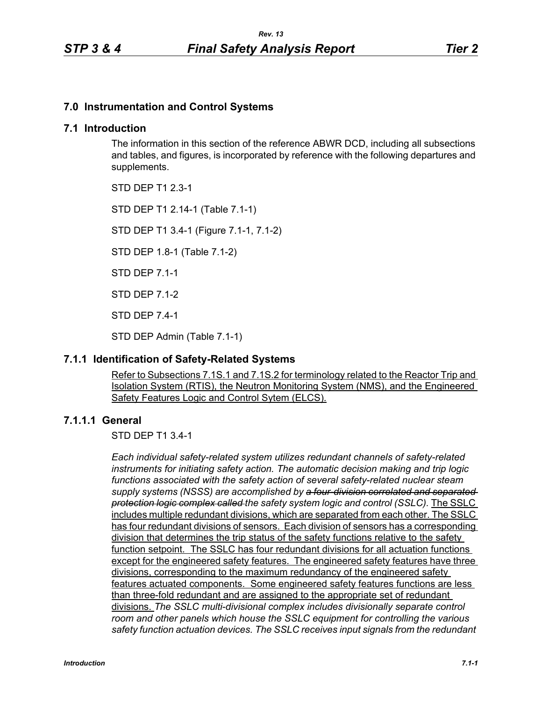## **7.0 Instrumentation and Control Systems**

## **7.1 Introduction**

The information in this section of the reference ABWR DCD, including all subsections and tables, and figures, is incorporated by reference with the following departures and supplements.

STD DEP T1 2.3-1

STD DEP T1 2.14-1 (Table 7.1-1)

STD DEP T1 3.4-1 (Figure 7.1-1, 7.1-2)

STD DEP 1.8-1 (Table 7.1-2)

STD DEP 7.1-1

STD DEP 7.1-2

STD DEP 7.4-1

STD DEP Admin (Table 7.1-1)

## **7.1.1 Identification of Safety-Related Systems**

Refer to Subsections 7.1S.1 and 7.1S.2 for terminology related to the Reactor Trip and Isolation System (RTIS), the Neutron Monitoring System (NMS), and the Engineered Safety Features Logic and Control Sytem (ELCS).

## **7.1.1.1 General**

STD DEP T1 3.4-1

*Each individual safety-related system utilizes redundant channels of safety-related instruments for initiating safety action. The automatic decision making and trip logic functions associated with the safety action of several safety-related nuclear steam supply systems (NSSS) are accomplished by a four-division correlated and separated protection logic complex called the safety system logic and control (SSLC).* The SSLC includes multiple redundant divisions, which are separated from each other. The SSLC has four redundant divisions of sensors. Each division of sensors has a corresponding division that determines the trip status of the safety functions relative to the safety function setpoint. The SSLC has four redundant divisions for all actuation functions except for the engineered safety features. The engineered safety features have three divisions, corresponding to the maximum redundancy of the engineered safety features actuated components. Some engineered safety features functions are less than three-fold redundant and are assigned to the appropriate set of redundant divisions. *The SSLC multi-divisional complex includes divisionally separate control room and other panels which house the SSLC equipment for controlling the various safety function actuation devices. The SSLC receives input signals from the redundant*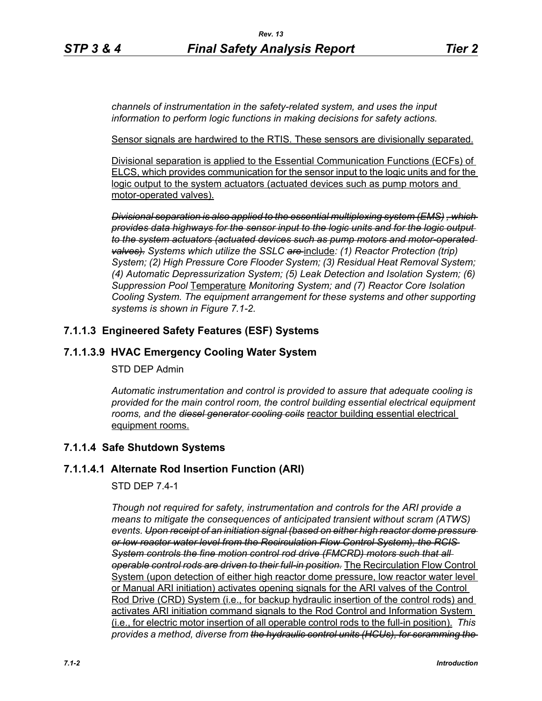*channels of instrumentation in the safety-related system, and uses the input information to perform logic functions in making decisions for safety actions.*

Sensor signals are hardwired to the RTIS. These sensors are divisionally separated.

Divisional separation is applied to the Essential Communication Functions (ECFs) of ELCS, which provides communication for the sensor input to the logic units and for the logic output to the system actuators (actuated devices such as pump motors and motor-operated valves).

*Divisional separation is also applied to the essential multiplexing system (EMS) , which provides data highways for the sensor input to the logic units and for the logic output to the system actuators (actuated devices such as pump motors and motor-operated valves). Systems which utilize the SSLC are* include*: (1) Reactor Protection (trip) System; (2) High Pressure Core Flooder System; (3) Residual Heat Removal System; (4) Automatic Depressurization System; (5) Leak Detection and Isolation System; (6) Suppression Pool* Temperature *Monitoring System; and (7) Reactor Core Isolation Cooling System. The equipment arrangement for these systems and other supporting systems is shown in Figure 7.1-2.*

## **7.1.1.3 Engineered Safety Features (ESF) Systems**

## **7.1.1.3.9 HVAC Emergency Cooling Water System**

#### STD DEP Admin

*Automatic instrumentation and control is provided to assure that adequate cooling is provided for the main control room, the control building essential electrical equipment rooms, and the diesel generator cooling coils* reactor building essential electrical equipment rooms.

## **7.1.1.4 Safe Shutdown Systems**

#### **7.1.1.4.1 Alternate Rod Insertion Function (ARI)**

#### STD DEP 7.4-1

*Though not required for safety, instrumentation and controls for the ARI provide a means to mitigate the consequences of anticipated transient without scram (ATWS) events. Upon receipt of an initiation signal (based on either high reactor dome pressure or low reactor water level from the Recirculation Flow Control System), the RCIS System controls the fine motion control rod drive (FMCRD) motors such that all operable control rods are driven to their full-in position.* The Recirculation Flow Control System (upon detection of either high reactor dome pressure, low reactor water level or Manual ARI initiation) activates opening signals for the ARI valves of the Control Rod Drive (CRD) System (i.e., for backup hydraulic insertion of the control rods) and activates ARI initiation command signals to the Rod Control and Information System (i.e., for electric motor insertion of all operable control rods to the full-in position). *This provides a method, diverse from the hydraulic control units (HCUs), for scramming the*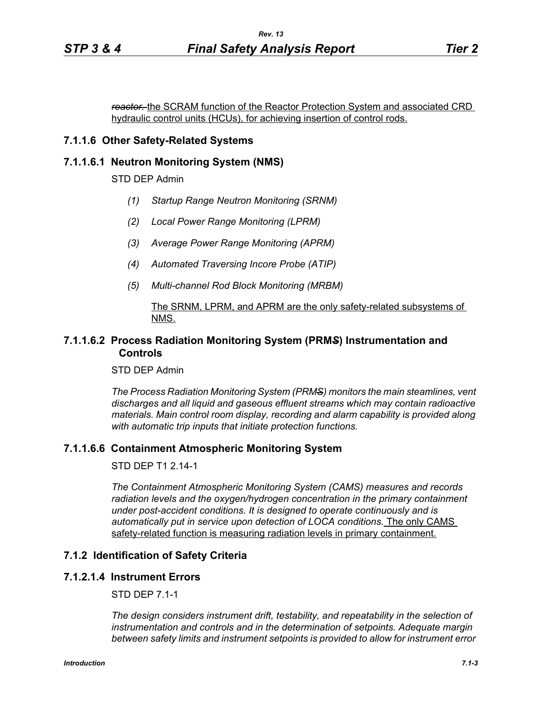*reactor.* the SCRAM function of the Reactor Protection System and associated CRD hydraulic control units (HCUs), for achieving insertion of control rods.

## **7.1.1.6 Other Safety-Related Systems**

#### **7.1.1.6.1 Neutron Monitoring System (NMS)**

STD DEP Admin

- *(1) Startup Range Neutron Monitoring (SRNM)*
- *(2) Local Power Range Monitoring (LPRM)*
- *(3) Average Power Range Monitoring (APRM)*
- *(4) Automated Traversing Incore Probe (ATIP)*
- *(5) Multi-channel Rod Block Monitoring (MRBM)*

#### The SRNM, LPRM, and APRM are the only safety-related subsystems of NMS.

### **7.1.1.6.2 Process Radiation Monitoring System (PRM***S***) Instrumentation and Controls**

STD DEP Admin

*The Process Radiation Monitoring System (PRMS) monitors the main steamlines, vent discharges and all liquid and gaseous effluent streams which may contain radioactive materials. Main control room display, recording and alarm capability is provided along with automatic trip inputs that initiate protection functions.*

#### **7.1.1.6.6 Containment Atmospheric Monitoring System**

STD DEP T1 2.14-1

*The Containment Atmospheric Monitoring System (CAMS) measures and records radiation levels and the oxygen/hydrogen concentration in the primary containment under post-accident conditions. It is designed to operate continuously and is automatically put in service upon detection of LOCA conditions.* The only CAMS safety-related function is measuring radiation levels in primary containment.

#### **7.1.2 Identification of Safety Criteria**

#### **7.1.2.1.4 Instrument Errors**

STD DEP 7.1-1

*The design considers instrument drift, testability, and repeatability in the selection of instrumentation and controls and in the determination of setpoints. Adequate margin between safety limits and instrument setpoints is provided to allow for instrument error*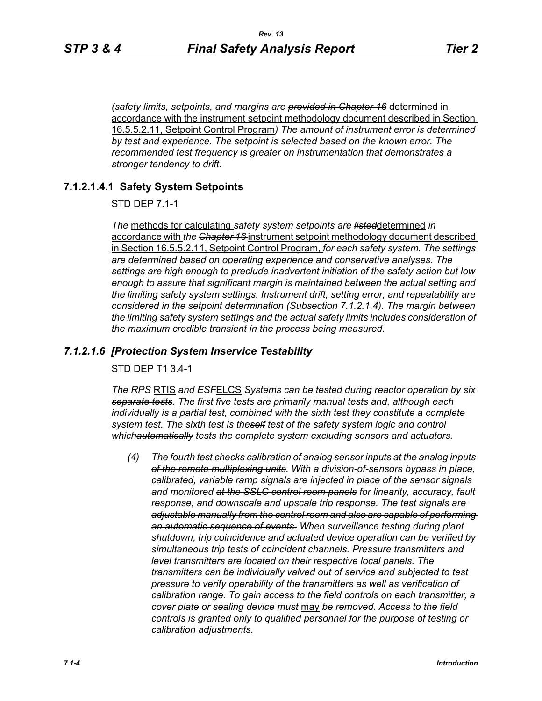*(safety limits, setpoints, and margins are provided in Chapter 16* determined in accordance with the instrument setpoint methodology document described in Section 16.5.5.2.11, Setpoint Control Program*) The amount of instrument error is determined by test and experience. The setpoint is selected based on the known error. The recommended test frequency is greater on instrumentation that demonstrates a stronger tendency to drift.*

## **7.1.2.1.4.1 Safety System Setpoints**

STD DEP 7.1-1

*The* methods for calculating *safety system setpoints are listed*determined *in*  accordance with *the Chapter 16* instrument setpoint methodology document described in Section 16.5.5.2.11, Setpoint Control Program, *for each safety system. The settings are determined based on operating experience and conservative analyses. The settings are high enough to preclude inadvertent initiation of the safety action but low enough to assure that significant margin is maintained between the actual setting and the limiting safety system settings. Instrument drift, setting error, and repeatability are considered in the setpoint determination (Subsection 7.1.2.1.4). The margin between the limiting safety system settings and the actual safety limits includes consideration of the maximum credible transient in the process being measured.*

## *7.1.2.1.6 [Protection System Inservice Testability*

STD DEP T1 3.4-1

*The RPS* RTIS *and ESF*ELCS *Systems can be tested during reactor operation by six separate tests. The first five tests are primarily manual tests and, although each individually is a partial test, combined with the sixth test they constitute a complete system test. The sixth test is theself test of the safety system logic and control whichautomatically tests the complete system excluding sensors and actuators.*

*(4) The fourth test checks calibration of analog sensor inputs at the analog inputs of the remote multiplexing units. With a division-of-sensors bypass in place, calibrated, variable ramp signals are injected in place of the sensor signals and monitored at the SSLC control room panels for linearity, accuracy, fault response, and downscale and upscale trip response. The test signals are adjustable manually from the control room and also are capable of performing an automatic sequence of events. When surveillance testing during plant shutdown, trip coincidence and actuated device operation can be verified by simultaneous trip tests of coincident channels. Pressure transmitters and level transmitters are located on their respective local panels. The transmitters can be individually valved out of service and subjected to test pressure to verify operability of the transmitters as well as verification of calibration range. To gain access to the field controls on each transmitter, a cover plate or sealing device must* may *be removed. Access to the field controls is granted only to qualified personnel for the purpose of testing or calibration adjustments.*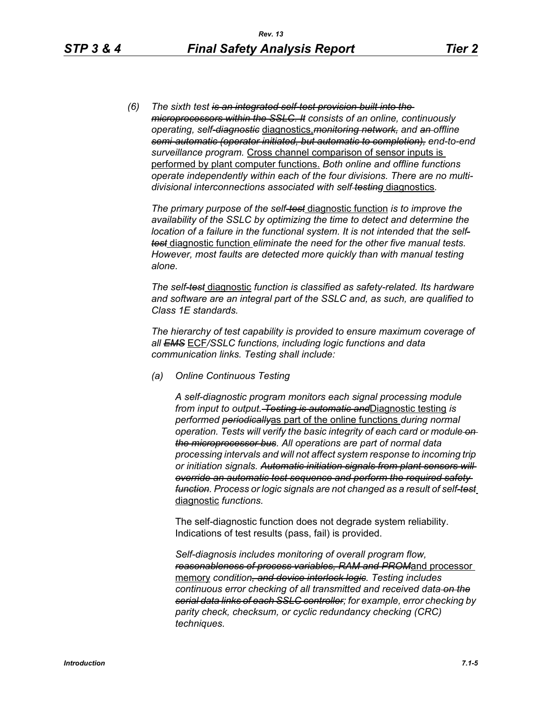*(6) The sixth test is an integrated self-test provision built into the microprocessors within the SSLC. It consists of an online, continuously operating, self-diagnostic* diagnostics,*monitoring network, and an offline semi-automatic (operator initiated, but automatic to completion), end-to-end surveillance program.* Cross channel comparison of sensor inputs is performed by plant computer functions. *Both online and offline functions operate independently within each of the four divisions. There are no multidivisional interconnections associated with self testing* diagnostics*.*

*The primary purpose of the self-test* diagnostic function *is to improve the availability of the SSLC by optimizing the time to detect and determine the location of a failure in the functional system. It is not intended that the selftest* diagnostic function *eliminate the need for the other five manual tests. However, most faults are detected more quickly than with manual testing alone.*

*The self-test* diagnostic *function is classified as safety-related. Its hardware and software are an integral part of the SSLC and, as such, are qualified to Class 1E standards.*

*The hierarchy of test capability is provided to ensure maximum coverage of all EMS* ECF*/SSLC functions, including logic functions and data communication links. Testing shall include:*

*(a) Online Continuous Testing*

*A self-diagnostic program monitors each signal processing module from input to output. Testing is automatic and*Diagnostic testing *is performed periodically*as part of the online functions *during normal operation. Tests will verify the basic integrity of each card or module on the microprocessor bus. All operations are part of normal data processing intervals and will not affect system response to incoming trip or initiation signals. Automatic initiation signals from plant sensors will override an automatic test sequence and perform the required safety function. Process or logic signals are not changed as a result of self-test* diagnostic *functions.*

The self-diagnostic function does not degrade system reliability. Indications of test results (pass, fail) is provided.

*Self-diagnosis includes monitoring of overall program flow, reasonableness of process variables, RAM and PROM*and processor memory *condition, and device interlock logic. Testing includes continuous error checking of all transmitted and received data on the serial data links of each SSLC controller; for example, error checking by parity check, checksum, or cyclic redundancy checking (CRC) techniques.*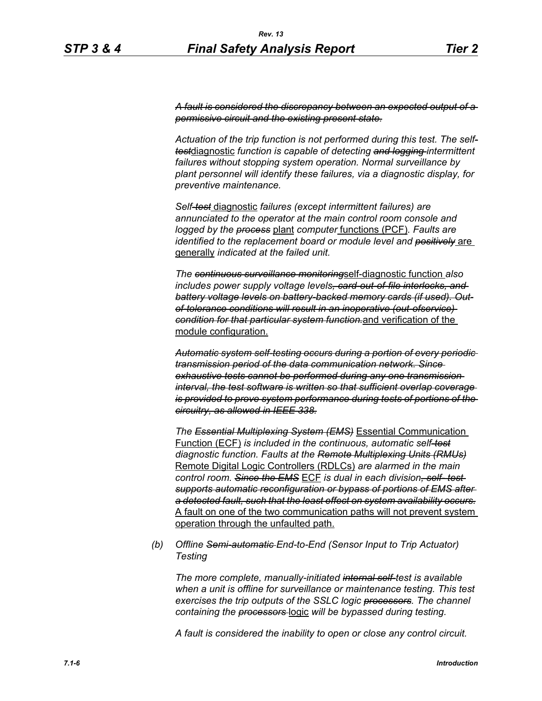*A fault is considered the discrepancy between an expected output of a permissive circuit and the existing present state.*

*Actuation of the trip function is not performed during this test. The selftest*diagnostic *function is capable of detecting and logging intermittent failures without stopping system operation. Normal surveillance by plant personnel will identify these failures, via a diagnostic display, for preventive maintenance.*

*Self-test* diagnostic *failures (except intermittent failures) are annunciated to the operator at the main control room console and logged by the process* plant *computer* functions (PCF)*. Faults are identified to the replacement board or module level and positively* are generally *indicated at the failed unit.*

*The continuous surveillance monitoring*self-diagnostic function *also includes power supply voltage levels, card-out-of-file interlocks, and battery voltage levels on battery-backed memory cards (if used). Outof-tolerance conditions will result in an inoperative (out-ofservice) condition for that particular system function.*and verification of the module configuration.

*Automatic system self-testing occurs during a portion of every periodic transmission period of the data communication network. Since exhaustive tests cannot be performed during any one transmission interval, the test software is written so that sufficient overlap coverage is provided to prove system performance during tests of portions of the circuitry, as allowed in IEEE 338.*

*The Essential Multiplexing System (EMS)* Essential Communication Function (ECF) *is included in the continuous, automatic self-test diagnostic function. Faults at the Remote Multiplexing Units (RMUs)* Remote Digital Logic Controllers (RDLCs) *are alarmed in the main control room. Since the EMS* ECF *is dual in each division, self- test supports automatic reconfiguration or bypass of portions of EMS after a detected fault, such that the least effect on system availability occurs.* A fault on one of the two communication paths will not prevent system operation through the unfaulted path.

*(b) Offline Semi-automatic End-to-End (Sensor Input to Trip Actuator) Testing*

*The more complete, manually-initiated internal self-test is available when a unit is offline for surveillance or maintenance testing. This test exercises the trip outputs of the SSLC logic processors. The channel containing the processors* logic *will be bypassed during testing.*

*A fault is considered the inability to open or close any control circuit.*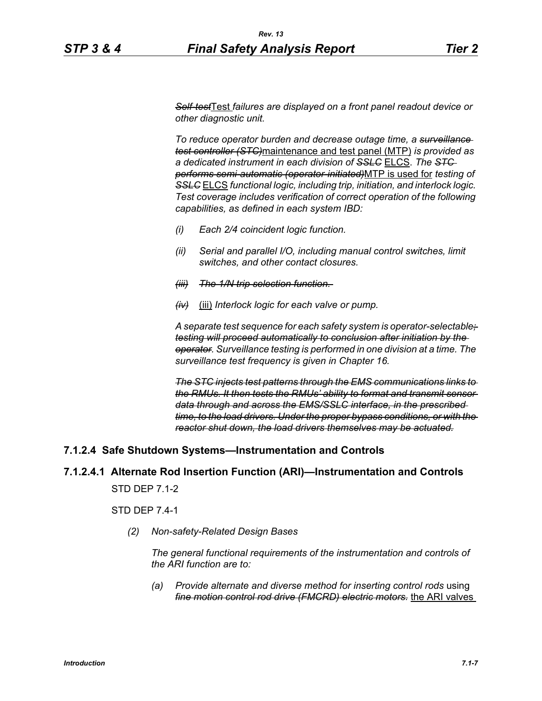*Self-test*Test *failures are displayed on a front panel readout device or other diagnostic unit.*

*To reduce operator burden and decrease outage time, a surveillance test controller (STC)*maintenance and test panel (MTP) *is provided as a dedicated instrument in each division of SSLC* ELCS. *The STC performs semi-automatic (operator-initiated)*MTP is used for *testing of SSLC* ELCS *functional logic, including trip, initiation, and interlock logic. Test coverage includes verification of correct operation of the following capabilities, as defined in each system IBD:*

- *(i) Each 2/4 coincident logic function.*
- *(ii) Serial and parallel I/O, including manual control switches, limit switches, and other contact closures.*
- *(iii) The 1/N trip selection function.*
- *(iv)* (iii) *Interlock logic for each valve or pump.*

*A separate test sequence for each safety system is operator-selectable; testing will proceed automatically to conclusion after initiation by the operator. Surveillance testing is performed in one division at a time. The surveillance test frequency is given in Chapter 16.*

*The STC injects test patterns through the EMS communications links to the RMUs. It then tests the RMUs' ability to format and transmit sensor data through and across the EMS/SSLC interface, in the prescribed time, to the load drivers. Under the proper bypass conditions, or with the reactor shut down, the load drivers themselves may be actuated.*

#### **7.1.2.4 Safe Shutdown Systems—Instrumentation and Controls**

#### **7.1.2.4.1 Alternate Rod Insertion Function (ARI)—Instrumentation and Controls**

STD DEP 7.1-2

STD DEP 7.4-1

*(2) Non-safety-Related Design Bases*

*The general functional requirements of the instrumentation and controls of the ARI function are to:*

*(a) Provide alternate and diverse method for inserting control rods* using *fine motion control rod drive (FMCRD) electric motors.* the ARI valves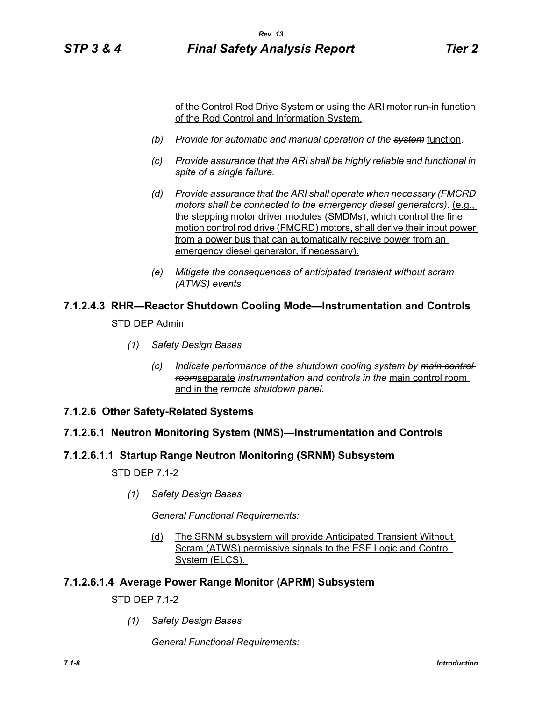of the Control Rod Drive System or using the ARI motor run-in function of the Rod Control and Information System.

- *(b) Provide for automatic and manual operation of the system* function*.*
- *(c) Provide assurance that the ARI shall be highly reliable and functional in spite of a single failure.*
- *(d) Provide assurance that the ARI shall operate when necessary (FMCRD motors shall be connected to the emergency diesel generators).* (e.g., the stepping motor driver modules (SMDMs), which control the fine motion control rod drive (FMCRD) motors, shall derive their input power from a power bus that can automatically receive power from an emergency diesel generator, if necessary).
- *(e) Mitigate the consequences of anticipated transient without scram (ATWS) events.*

# **7.1.2.4.3 RHR—Reactor Shutdown Cooling Mode—Instrumentation and Controls**

STD DEP Admin

- *(1) Safety Design Bases*
	- *(c) Indicate performance of the shutdown cooling system by main control room*separate *instrumentation and controls in the* main control room and in the *remote shutdown panel.*
- **7.1.2.6 Other Safety-Related Systems**

## **7.1.2.6.1 Neutron Monitoring System (NMS)—Instrumentation and Controls**

## **7.1.2.6.1.1 Startup Range Neutron Monitoring (SRNM) Subsystem**

STD DEP 7.1-2

*(1) Safety Design Bases*

*General Functional Requirements:*

(d) The SRNM subsystem will provide Anticipated Transient Without Scram (ATWS) permissive signals to the ESF Logic and Control System (ELCS).

## **7.1.2.6.1.4 Average Power Range Monitor (APRM) Subsystem**

STD DEP 7.1-2

*(1) Safety Design Bases*

*General Functional Requirements:*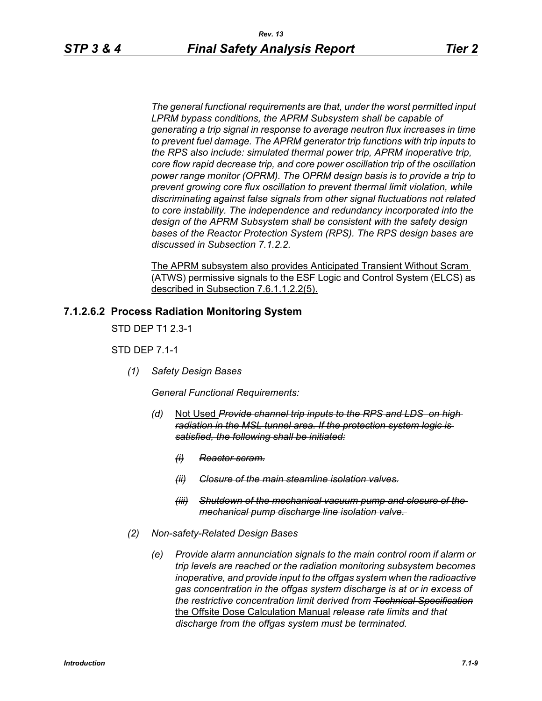*The general functional requirements are that, under the worst permitted input LPRM bypass conditions, the APRM Subsystem shall be capable of generating a trip signal in response to average neutron flux increases in time to prevent fuel damage. The APRM generator trip functions with trip inputs to the RPS also include: simulated thermal power trip, APRM inoperative trip, core flow rapid decrease trip, and core power oscillation trip of the oscillation power range monitor (OPRM). The OPRM design basis is to provide a trip to prevent growing core flux oscillation to prevent thermal limit violation, while discriminating against false signals from other signal fluctuations not related to core instability. The independence and redundancy incorporated into the design of the APRM Subsystem shall be consistent with the safety design bases of the Reactor Protection System (RPS). The RPS design bases are discussed in Subsection 7.1.2.2.*

The APRM subsystem also provides Anticipated Transient Without Scram (ATWS) permissive signals to the ESF Logic and Control System (ELCS) as described in Subsection 7.6.1.1.2.2(5).

## **7.1.2.6.2 Process Radiation Monitoring System**

STD DEP T1 2.3-1

STD DEP 7.1-1

*(1) Safety Design Bases*

*General Functional Requirements:*

- *(d)* Not Used *Provide channel trip inputs to the RPS and LDS on high radiation in the MSL tunnel area. If the protection system logic is satisfied, the following shall be initiated:*
	- *(i) Reactor scram.*
	- *(ii) Closure of the main steamline isolation valves.*
	- *(iii) Shutdown of the mechanical vacuum pump and closure of the mechanical pump discharge line isolation valve.*
- *(2) Non-safety-Related Design Bases*
	- *(e) Provide alarm annunciation signals to the main control room if alarm or trip levels are reached or the radiation monitoring subsystem becomes inoperative, and provide input to the offgas system when the radioactive gas concentration in the offgas system discharge is at or in excess of the restrictive concentration limit derived from Technical Specification* the Offsite Dose Calculation Manual *release rate limits and that discharge from the offgas system must be terminated.*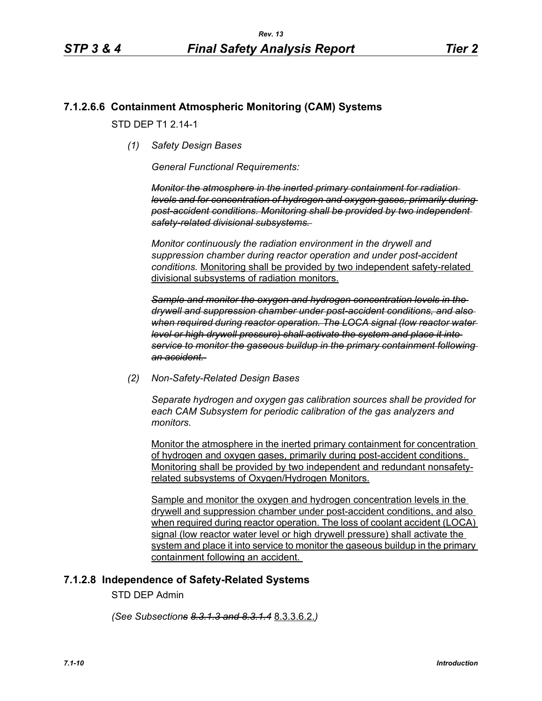## **7.1.2.6.6 Containment Atmospheric Monitoring (CAM) Systems**

STD DFP T1 2 14-1

*(1) Safety Design Bases*

*General Functional Requirements:*

*Monitor the atmosphere in the inerted primary containment for radiation levels and for concentration of hydrogen and oxygen gases, primarily during post-accident conditions. Monitoring shall be provided by two independent safety-related divisional subsystems.* 

*Monitor continuously the radiation environment in the drywell and suppression chamber during reactor operation and under post-accident conditions.* Monitoring shall be provided by two independent safety-related divisional subsystems of radiation monitors.

*Sample and monitor the oxygen and hydrogen concentration levels in the drywell and suppression chamber under post-accident conditions, and also when required during reactor operation. The LOCA signal (low reactor water level or high drywell pressure) shall activate the system and place it into service to monitor the gaseous buildup in the primary containment following an accident.* 

*(2) Non-Safety-Related Design Bases*

*Separate hydrogen and oxygen gas calibration sources shall be provided for each CAM Subsystem for periodic calibration of the gas analyzers and monitors.* 

Monitor the atmosphere in the inerted primary containment for concentration of hydrogen and oxygen gases, primarily during post-accident conditions. Monitoring shall be provided by two independent and redundant nonsafetyrelated subsystems of Oxygen/Hydrogen Monitors.

Sample and monitor the oxygen and hydrogen concentration levels in the drywell and suppression chamber under post-accident conditions, and also when required during reactor operation. The loss of coolant accident (LOCA) signal (low reactor water level or high drywell pressure) shall activate the system and place it into service to monitor the gaseous buildup in the primary containment following an accident.

## **7.1.2.8 Independence of Safety-Related Systems**

STD DEP Admin

*(See Subsections 8.3.1.3 and 8.3.1.4* 8.3.3.6.2.*)*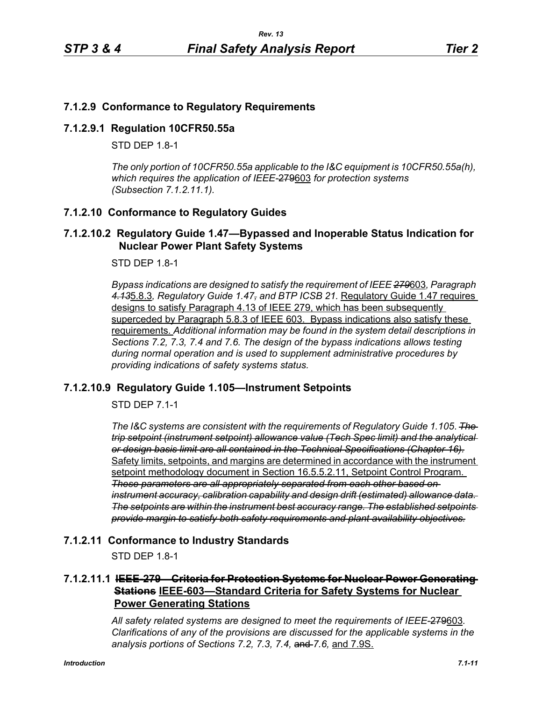## **7.1.2.9 Conformance to Regulatory Requirements**

## **7.1.2.9.1 Regulation 10CFR50.55a**

STD DFP 18-1

*The only portion of 10CFR50.55a applicable to the I&C equipment is 10CFR50.55a(h), which requires the application of IEEE-*279603 *for protection systems (Subsection 7.1.2.11.1).*

## **7.1.2.10 Conformance to Regulatory Guides**

## **7.1.2.10.2 Regulatory Guide 1.47—Bypassed and Inoperable Status Indication for Nuclear Power Plant Safety Systems**

STD DEP 1.8-1

*Bypass indications are designed to satisfy the requirement of IEEE 279*603*, Paragraph 4.13*5.8.3*, Regulatory Guide 1.47, and BTP ICSB 21.* Regulatory Guide 1.47 requires designs to satisfy Paragraph 4.13 of IEEE 279, which has been subsequently superceded by Paragraph 5.8.3 of IEEE 603. Bypass indications also satisfy these requirements. *Additional information may be found in the system detail descriptions in Sections 7.2, 7.3, 7.4 and 7.6. The design of the bypass indications allows testing during normal operation and is used to supplement administrative procedures by providing indications of safety systems status.*

## **7.1.2.10.9 Regulatory Guide 1.105—Instrument Setpoints**

STD DEP 7.1-1

*The I&C systems are consistent with the requirements of Regulatory Guide 1.105*. *The trip setpoint (instrument setpoint) allowance value (Tech Spec limit) and the analytical or design basis limit are all contained in the Technical Specifications (Chapter 16).* Safety limits, setpoints, and margins are determined in accordance with the instrument setpoint methodology document in Section 16.5.5.2.11, Setpoint Control Program. *These parameters are all appropriately separated from each other based on instrument accuracy, calibration capability and design drift (estimated) allowance data. The setpoints are within the instrument best accuracy range. The established setpoints provide margin to satisfy both safety requirements and plant availability objectives.*

#### **7.1.2.11 Conformance to Industry Standards**

STD DEP 1.8-1

## **7.1.2.11.1 IEEE-279—Criteria for Protection Systems for Nuclear Power Generating Stations IEEE-603—Standard Criteria for Safety Systems for Nuclear Power Generating Stations**

*All safety related systems are designed to meet the requirements of IEEE-*279603*. Clarifications of any of the provisions are discussed for the applicable systems in the analysis portions of Sections 7.2, 7.3, 7.4,* and *7.6,* and 7.9S.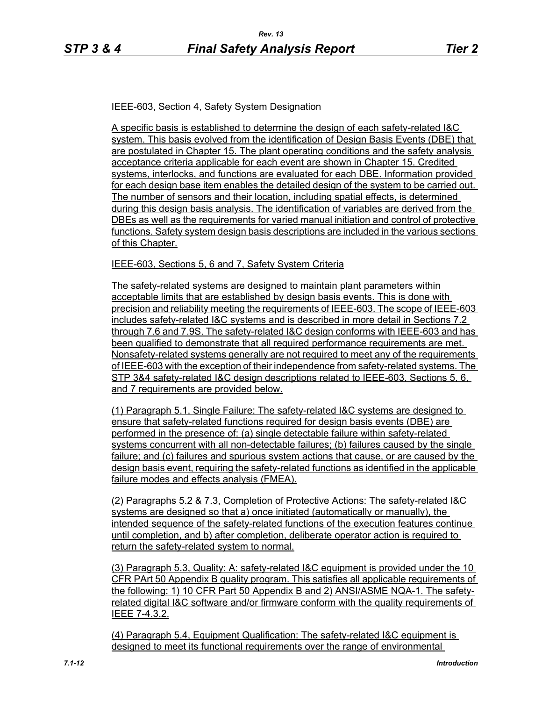#### IEEE-603, Section 4, Safety System Designation

A specific basis is established to determine the design of each safety-related I&C system. This basis evolved from the identification of Design Basis Events (DBE) that are postulated in Chapter 15. The plant operating conditions and the safety analysis acceptance criteria applicable for each event are shown in Chapter 15. Credited systems, interlocks, and functions are evaluated for each DBE. Information provided for each design base item enables the detailed design of the system to be carried out. The number of sensors and their location, including spatial effects, is determined during this design basis analysis. The identification of variables are derived from the DBEs as well as the requirements for varied manual initiation and control of protective functions. Safety system design basis descriptions are included in the various sections of this Chapter.

#### IEEE-603, Sections 5, 6 and 7, Safety System Criteria

The safety-related systems are designed to maintain plant parameters within acceptable limits that are established by design basis events. This is done with precision and reliability meeting the requirements of IEEE-603. The scope of IEEE-603 includes safety-related I&C systems and is described in more detail in Sections 7.2 through 7.6 and 7.9S. The safety-related I&C design conforms with IEEE-603 and has been qualified to demonstrate that all required performance requirements are met. Nonsafety-related systems generally are not required to meet any of the requirements of IEEE-603 with the exception of their independence from safety-related systems. The STP 3&4 safety-related I&C design descriptions related to IEEE-603, Sections 5, 6, and 7 requirements are provided below.

(1) Paragraph 5.1, Single Failure: The safety-related I&C systems are designed to ensure that safety-related functions required for design basis events (DBE) are performed in the presence of: (a) single detectable failure within safety-related systems concurrent with all non-detectable failures; (b) failures caused by the single failure; and (c) failures and spurious system actions that cause, or are caused by the design basis event, requiring the safety-related functions as identified in the applicable failure modes and effects analysis (FMEA).

(2) Paragraphs 5.2 & 7.3, Completion of Protective Actions: The safety-related I&C systems are designed so that a) once initiated (automatically or manually), the intended sequence of the safety-related functions of the execution features continue until completion, and b) after completion, deliberate operator action is required to return the safety-related system to normal.

(3) Paragraph 5.3, Quality: A: safety-related I&C equipment is provided under the 10 CFR PArt 50 Appendix B quality program. This satisfies all applicable requirements of the following: 1) 10 CFR Part 50 Appendix B and 2) ANSI/ASME NQA-1. The safetyrelated digital I&C software and/or firmware conform with the quality requirements of IEEE 7-4.3.2.

(4) Paragraph 5.4, Equipment Qualification: The safety-related I&C equipment is designed to meet its functional requirements over the range of environmental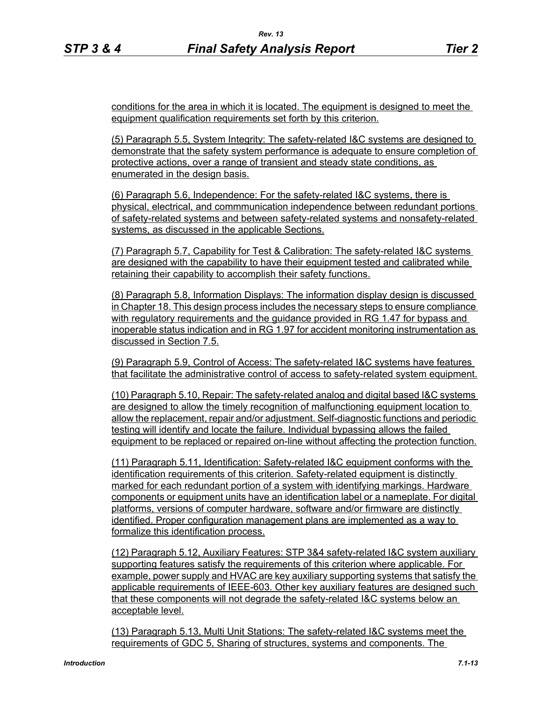conditions for the area in which it is located. The equipment is designed to meet the equipment qualification requirements set forth by this criterion.

(5) Paragraph 5.5, System Integrity: The safety-related I&C systems are designed to demonstrate that the safety system performance is adequate to ensure completion of protective actions, over a range of transient and steady state conditions, as enumerated in the design basis.

(6) Paragraph 5.6, Independence: For the safety-related I&C systems, there is physical, electrical, and commmunication independence between redundant portions of safety-related systems and between safety-related systems and nonsafety-related systems, as discussed in the applicable Sections.

(7) Paragraph 5.7, Capability for Test & Calibration: The safety-related I&C systems are designed with the capability to have their equipment tested and calibrated while retaining their capability to accomplish their safety functions.

(8) Paragraph 5.8, Information Displays: The information display design is discussed in Chapter 18. This design process includes the necessary steps to ensure compliance with regulatory requirements and the guidance provided in RG 1.47 for bypass and inoperable status indication and in RG 1.97 for accident monitoring instrumentation as discussed in Section 7.5.

(9) Paragraph 5.9, Control of Access: The safety-related I&C systems have features that facilitate the administrative control of access to safety-related system equipment.

(10) Paragraph 5.10, Repair: The safety-related analog and digital based I&C systems are designed to allow the timely recognition of malfunctioning equipment location to allow the replacement, repair and/or adjustment. Self-diagnostic functions and periodic testing will identify and locate the failure. Individual bypassing allows the failed equipment to be replaced or repaired on-line without affecting the protection function.

(11) Paragraph 5.11, Identification: Safety-related I&C equipment conforms with the identification requirements of this criterion. Safety-related equipment is distinctly marked for each redundant portion of a system with identifying markings. Hardware components or equipment units have an identification label or a nameplate. For digital platforms, versions of computer hardware, software and/or firmware are distinctly identified. Proper configuration management plans are implemented as a way to formalize this identification process.

(12) Paragraph 5.12, Auxiliary Features: STP 3&4 safety-related I&C system auxiliary supporting features satisfy the requirements of this criterion where applicable. For example, power supply and HVAC are key auxiliary supporting systems that satisfy the applicable requirements of IEEE-603. Other key auxiliary features are designed such that these components will not degrade the safety-related I&C systems below an acceptable level.

(13) Paragraph 5.13, Multi Unit Stations: The safety-related I&C systems meet the requirements of GDC 5, Sharing of structures, systems and components. The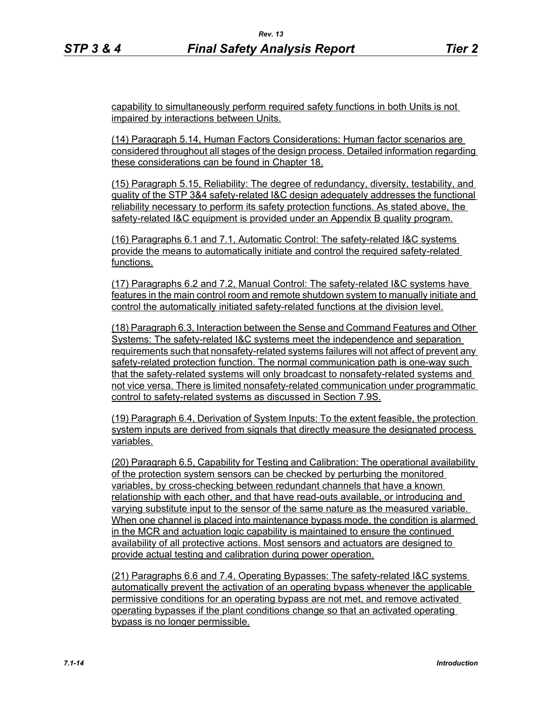capability to simultaneously perform required safety functions in both Units is not impaired by interactions between Units.

(14) Paragraph 5.14, Human Factors Considerations: Human factor scenarios are considered throughout all stages of the design process. Detailed information regarding these considerations can be found in Chapter 18.

(15) Paragraph 5.15, Reliability: The degree of redundancy, diversity, testability, and quality of the STP 3&4 safety-related I&C design adequately addresses the functional reliability necessary to perform its safety protection functions. As stated above, the safety-related I&C equipment is provided under an Appendix B quality program.

(16) Paragraphs 6.1 and 7.1, Automatic Control: The safety-related I&C systems provide the means to automatically initiate and control the required safety-related functions.

(17) Paragraphs 6.2 and 7.2, Manual Control: The safety-related I&C systems have features in the main control room and remote shutdown system to manually initiate and control the automatically initiated safety-related functions at the division level.

(18) Paragraph 6.3, Interaction between the Sense and Command Features and Other Systems: The safety-related I&C systems meet the independence and separation requirements such that nonsafety-related systems failures will not affect of prevent any safety-related protection function. The normal communication path is one-way such that the safety-related systems will only broadcast to nonsafety-related systems and not vice versa. There is limited nonsafety-related communication under programmatic control to safety-related systems as discussed in Section 7.9S.

(19) Paragraph 6.4, Derivation of System Inputs: To the extent feasible, the protection system inputs are derived from signals that directly measure the designated process variables.

(20) Paragraph 6.5, Capability for Testing and Calibration: The operational availability of the protection system sensors can be checked by perturbing the monitored variables, by cross-checking between redundant channels that have a known relationship with each other, and that have read-outs available, or introducing and varying substitute input to the sensor of the same nature as the measured variable. When one channel is placed into maintenance bypass mode, the condition is alarmed in the MCR and actuation logic capability is maintained to ensure the continued availability of all protective actions. Most sensors and actuators are designed to provide actual testing and calibration during power operation.

(21) Paragraphs 6.6 and 7.4, Operating Bypasses: The safety-related I&C systems automatically prevent the activation of an operating bypass whenever the applicable permissive conditions for an operating bypass are not met, and remove activated operating bypasses if the plant conditions change so that an activated operating bypass is no longer permissible.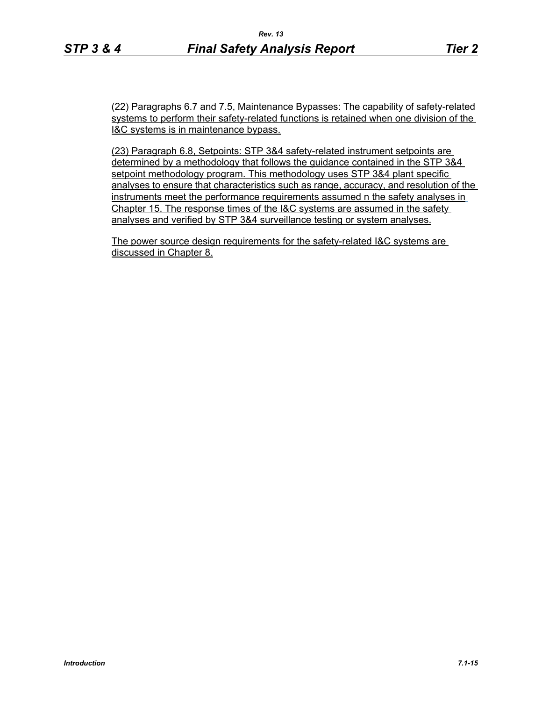(22) Paragraphs 6.7 and 7.5, Maintenance Bypasses: The capability of safety-related systems to perform their safety-related functions is retained when one division of the I&C systems is in maintenance bypass.

(23) Paragraph 6.8, Setpoints: STP 3&4 safety-related instrument setpoints are determined by a methodology that follows the guidance contained in the STP 3&4 setpoint methodology program. This methodology uses STP 3&4 plant specific analyses to ensure that characteristics such as range, accuracy, and resolution of the instruments meet the performance requirements assumed n the safety analyses in Chapter 15. The response times of the I&C systems are assumed in the safety analyses and verified by STP 3&4 surveillance testing or system analyses.

The power source design requirements for the safety-related I&C systems are discussed in Chapter 8.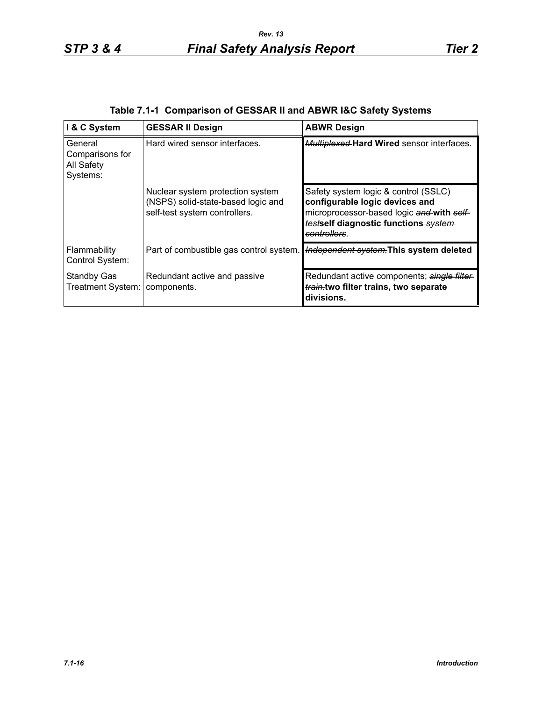| I & C System                                         | <b>GESSAR II Design</b>                                                                                 | <b>ABWR Design</b>                                                                                                                                                          |
|------------------------------------------------------|---------------------------------------------------------------------------------------------------------|-----------------------------------------------------------------------------------------------------------------------------------------------------------------------------|
| General<br>Comparisons for<br>All Safety<br>Systems: | Hard wired sensor interfaces.                                                                           | <b>Multiplexed Hard Wired sensor interfaces.</b>                                                                                                                            |
|                                                      | Nuclear system protection system<br>(NSPS) solid-state-based logic and<br>self-test system controllers. | Safety system logic & control (SSLC)<br>configurable logic devices and<br>microprocessor-based logic and with self-<br>testself diagnostic functions system-<br>controllers |
| Flammability<br>Control System:                      | Part of combustible gas control system.                                                                 | Independent system. This system deleted                                                                                                                                     |
| Standby Gas<br>Treatment System:                     | Redundant active and passive<br>components.                                                             | Redundant active components; single filter<br>train.two filter trains, two separate<br>divisions.                                                                           |

|  | Table 7.1-1 Comparison of GESSAR II and ABWR I&C Safety Systems |  |  |
|--|-----------------------------------------------------------------|--|--|
|  |                                                                 |  |  |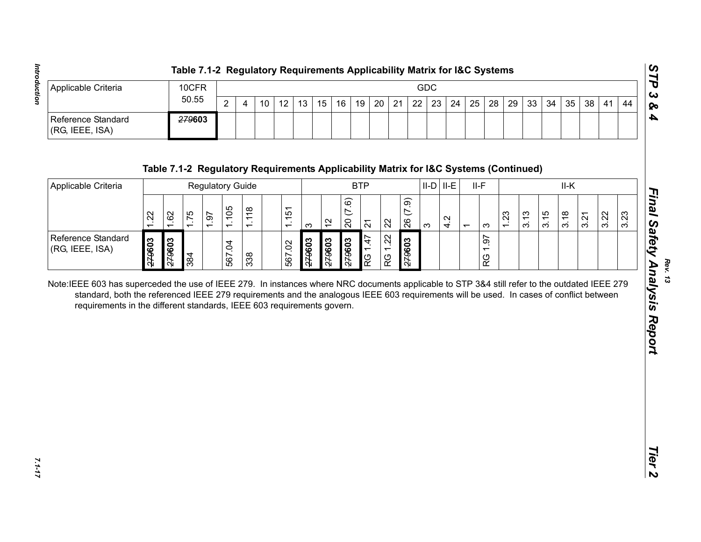| Applicable Criteria                   | 10CFR  |               |    |    |                 |    |    |    |    |    |    | GDC |    |    |    |                 |                 |    |    |    |     |    |
|---------------------------------------|--------|---------------|----|----|-----------------|----|----|----|----|----|----|-----|----|----|----|-----------------|-----------------|----|----|----|-----|----|
|                                       | 50.55  | റ<br><u>_</u> | 10 | 12 | 13 <sup>°</sup> | 15 | 16 | 19 | 20 | 21 | 22 | 23  | 24 | 25 | 28 | 29 <sup>1</sup> | 33 <sup>1</sup> | 34 | 35 | 38 | -41 | 44 |
| Reference Standard<br>(RG, IEEE, ISA) | 279603 |               |    |    |                 |    |    |    |    |    |    |     |    |    |    |                 |                 |    |    |    |     |    |

| 50.55<br>$\overline{2}$<br>20<br>22<br>23<br>28<br>29<br>10<br>12<br>13<br>15<br>16<br>19<br>21<br>24<br>25<br>33<br>34<br>35<br>38<br>41<br>4<br>279603<br>(RG, IEEE, ISA)<br>Table 7.1-2 Regulatory Requirements Applicability Matrix for I&C Systems (Continued)<br>$II-D$ $II-E$<br><b>BTP</b><br>$II-F$<br>II-K<br>Applicable Criteria<br><b>Regulatory Guide</b><br>(7.9)<br>(7.6)<br>1.105<br>1.118<br>51<br>1.62<br>1.75<br>3.15<br>3.18<br>3.22<br>1.22<br>1.23<br>3.13<br>1.97<br>3.21<br>$\frac{1}{\sqrt{2}}$<br>4.2<br>26<br>$\overline{20}$<br>$\frac{2}{3}$<br>22<br>$\overline{2}$<br>$\infty$<br>က<br>$\overline{\phantom{0}}$<br>က<br>1.22<br>62<br>1.47<br>279603<br>279603<br>279603<br>279603<br>279603<br>£79603<br>567.02<br>567.04<br>(RG, IEEE, ISA)<br>$\overline{\phantom{0}}$<br>384<br>338<br>RG<br>RG<br>RG<br>standard, both the referenced IEEE 279 requirements and the analogous IEEE 603 requirements will be used. In cases of conflict between<br>requirements in the different standards, IEEE 603 requirements govern. | Applicable Criteria |  |  | 10CFR |  |  |  |  |  |  | <b>GDC</b> |  |  |  |  |      |
|--------------------------------------------------------------------------------------------------------------------------------------------------------------------------------------------------------------------------------------------------------------------------------------------------------------------------------------------------------------------------------------------------------------------------------------------------------------------------------------------------------------------------------------------------------------------------------------------------------------------------------------------------------------------------------------------------------------------------------------------------------------------------------------------------------------------------------------------------------------------------------------------------------------------------------------------------------------------------------------------------------------------------------------------------------------|---------------------|--|--|-------|--|--|--|--|--|--|------------|--|--|--|--|------|
| Reference Standard<br>Reference Standard<br>Note:IEEE 603 has superceded the use of IEEE 279. In instances where NRC documents applicable to STP 3&4 still refer to the outdated IEEE 279                                                                                                                                                                                                                                                                                                                                                                                                                                                                                                                                                                                                                                                                                                                                                                                                                                                                    |                     |  |  |       |  |  |  |  |  |  |            |  |  |  |  | 44   |
|                                                                                                                                                                                                                                                                                                                                                                                                                                                                                                                                                                                                                                                                                                                                                                                                                                                                                                                                                                                                                                                              |                     |  |  |       |  |  |  |  |  |  |            |  |  |  |  |      |
|                                                                                                                                                                                                                                                                                                                                                                                                                                                                                                                                                                                                                                                                                                                                                                                                                                                                                                                                                                                                                                                              |                     |  |  |       |  |  |  |  |  |  |            |  |  |  |  |      |
|                                                                                                                                                                                                                                                                                                                                                                                                                                                                                                                                                                                                                                                                                                                                                                                                                                                                                                                                                                                                                                                              |                     |  |  |       |  |  |  |  |  |  |            |  |  |  |  |      |
|                                                                                                                                                                                                                                                                                                                                                                                                                                                                                                                                                                                                                                                                                                                                                                                                                                                                                                                                                                                                                                                              |                     |  |  |       |  |  |  |  |  |  |            |  |  |  |  | 3.23 |
|                                                                                                                                                                                                                                                                                                                                                                                                                                                                                                                                                                                                                                                                                                                                                                                                                                                                                                                                                                                                                                                              |                     |  |  |       |  |  |  |  |  |  |            |  |  |  |  |      |
|                                                                                                                                                                                                                                                                                                                                                                                                                                                                                                                                                                                                                                                                                                                                                                                                                                                                                                                                                                                                                                                              |                     |  |  |       |  |  |  |  |  |  |            |  |  |  |  |      |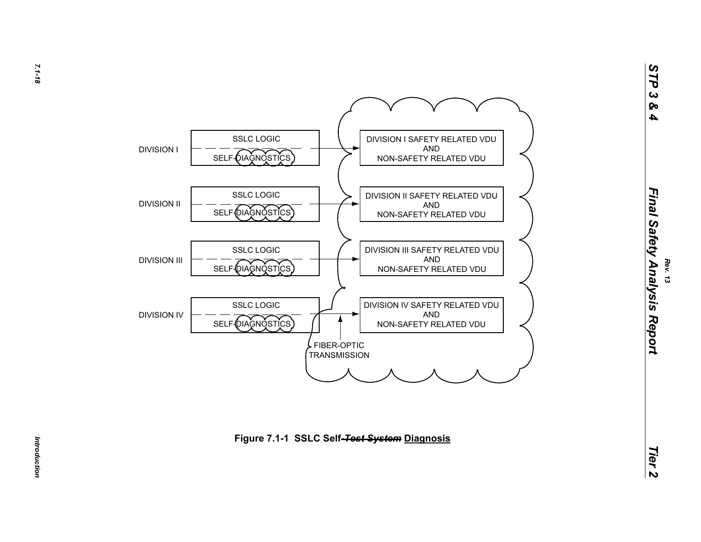